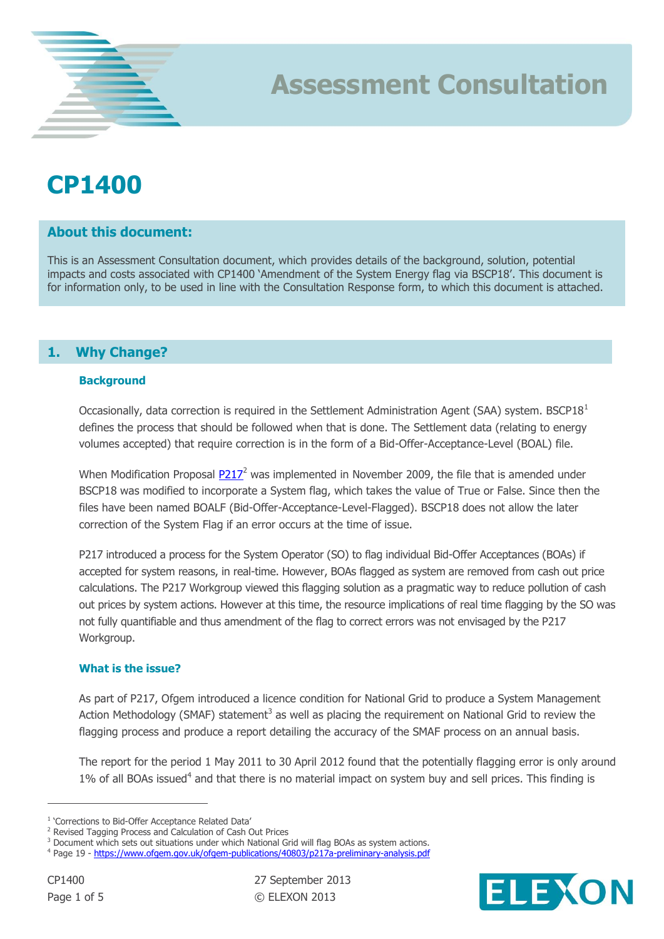## **CP1400**

## **About this document:**

This is an Assessment Consultation document, which provides details of the background, solution, potential impacts and costs associated with CP1400 'Amendment of the System Energy flag via BSCP18'. This document is for information only, to be used in line with the Consultation Response form, to which this document is attached.

**Assessment Consultation**

## **1. Why Change?**

#### **Background**

Occasionally, data correction is required in the Settlement Administration Agent (SAA) system. BSCP18<sup>1</sup> defines the process that should be followed when that is done. The Settlement data (relating to energy volumes accepted) that require correction is in the form of a Bid-Offer-Acceptance-Level (BOAL) file.

When Modification Proposal [P217](http://www.elexon.co.uk/mod-proposal/p217-revised-tagging-process-and-calculation-of-cash-out-prices/)<sup>2</sup> was implemented in November 2009, the file that is amended under BSCP18 was modified to incorporate a System flag, which takes the value of True or False. Since then the files have been named BOALF (Bid-Offer-Acceptance-Level-Flagged). BSCP18 does not allow the later correction of the System Flag if an error occurs at the time of issue.

P217 introduced a process for the System Operator (SO) to flag individual Bid-Offer Acceptances (BOAs) if accepted for system reasons, in real-time. However, BOAs flagged as system are removed from cash out price calculations. The P217 Workgroup viewed this flagging solution as a pragmatic way to reduce pollution of cash out prices by system actions. However at this time, the resource implications of real time flagging by the SO was not fully quantifiable and thus amendment of the flag to correct errors was not envisaged by the P217 Workgroup.

#### **What is the issue?**

As part of P217, Ofgem introduced a licence condition for National Grid to produce a System Management Action Methodology (SMAF) statement<sup>3</sup> as well as placing the requirement on National Grid to review the flagging process and produce a report detailing the accuracy of the SMAF process on an annual basis.

The report for the period 1 May 2011 to 30 April 2012 found that the potentially flagging error is only around 1% of all BOAs issued<sup>4</sup> and that there is no material impact on system buy and sell prices. This finding is

 $\overline{a}$ 



<sup>1</sup> 'Corrections to Bid-Offer Acceptance Related Data'

<sup>2</sup> Revised Tagging Process and Calculation of Cash Out Prices

<sup>&</sup>lt;sup>3</sup> Document which sets out situations under which National Grid will flag BOAs as system actions.

<sup>&</sup>lt;sup>4</sup> Page 19 - <https://www.ofgem.gov.uk/ofgem-publications/40803/p217a-preliminary-analysis.pdf>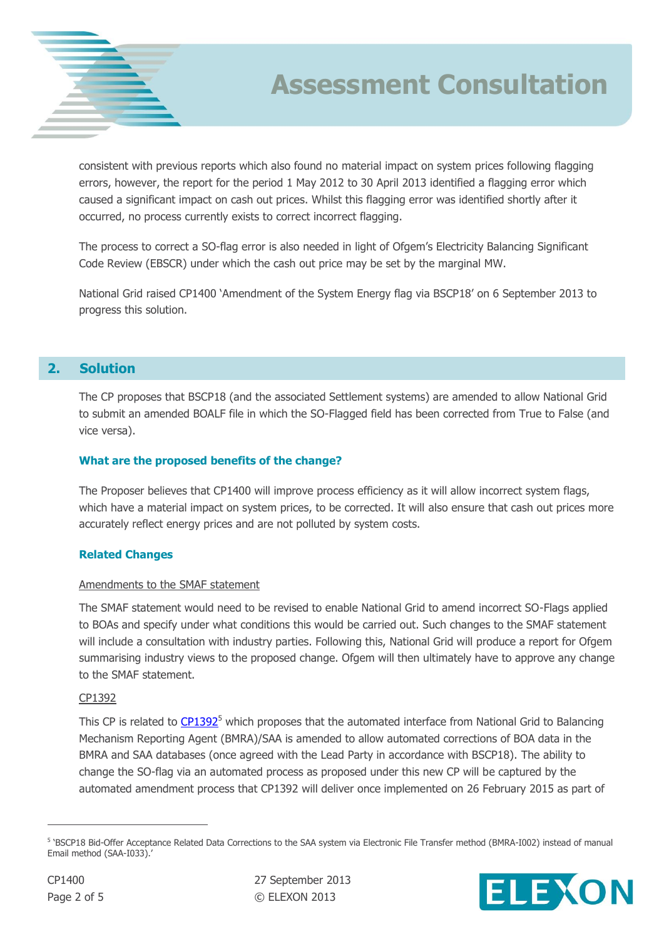

## **Assessment Consultation**

consistent with previous reports which also found no material impact on system prices following flagging errors, however, the report for the period 1 May 2012 to 30 April 2013 identified a flagging error which caused a significant impact on cash out prices. Whilst this flagging error was identified shortly after it occurred, no process currently exists to correct incorrect flagging.

The process to correct a SO-flag error is also needed in light of Ofgem's Electricity Balancing Significant Code Review (EBSCR) under which the cash out price may be set by the marginal MW.

National Grid raised CP1400 'Amendment of the System Energy flag via BSCP18' on 6 September 2013 to progress this solution.

## **2. Solution**

The CP proposes that BSCP18 (and the associated Settlement systems) are amended to allow National Grid to submit an amended BOALF file in which the SO-Flagged field has been corrected from True to False (and vice versa).

#### **What are the proposed benefits of the change?**

The Proposer believes that CP1400 will improve process efficiency as it will allow incorrect system flags, which have a material impact on system prices, to be corrected. It will also ensure that cash out prices more accurately reflect energy prices and are not polluted by system costs.

### **Related Changes**

#### Amendments to the SMAF statement

The SMAF statement would need to be revised to enable National Grid to amend incorrect SO-Flags applied to BOAs and specify under what conditions this would be carried out. Such changes to the SMAF statement will include a consultation with industry parties. Following this, National Grid will produce a report for Ofgem summarising industry views to the proposed change. Ofgem will then ultimately have to approve any change to the SMAF statement.

#### CP1392

This CP is related to  $CP1392^5$  which proposes that the automated interface from National Grid to Balancing Mechanism Reporting Agent (BMRA)/SAA is amended to allow automated corrections of BOA data in the BMRA and SAA databases (once agreed with the Lead Party in accordance with BSCP18). The ability to change the SO-flag via an automated process as proposed under this new CP will be captured by the automated amendment process that CP1392 will deliver once implemented on 26 February 2015 as part of

 $\overline{a}$ 



<sup>&</sup>lt;sup>5</sup> 'BSCP18 Bid-Offer Acceptance Related Data Corrections to the SAA system via Electronic File Transfer method (BMRA-I002) instead of manual Email method (SAA-I033).'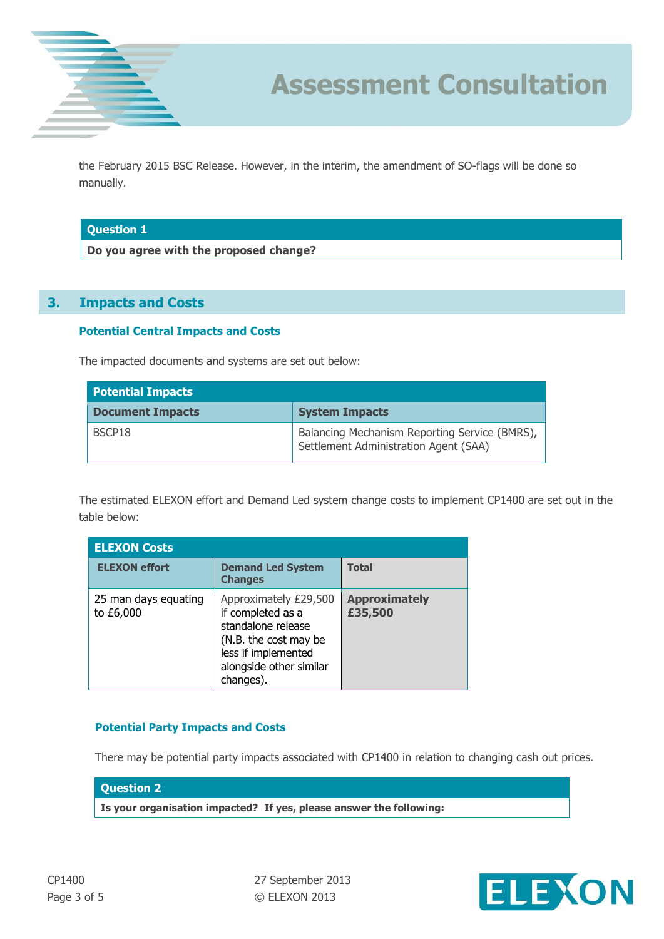

the February 2015 BSC Release. However, in the interim, the amendment of SO-flags will be done so manually.

#### **Question 1**

**Do you agree with the proposed change?**

## **3. Impacts and Costs**

#### **Potential Central Impacts and Costs**

The impacted documents and systems are set out below:

| <b>Potential Impacts</b> |                                                                                        |  |
|--------------------------|----------------------------------------------------------------------------------------|--|
| <b>Document Impacts</b>  | <b>System Impacts</b>                                                                  |  |
| BSCP18                   | Balancing Mechanism Reporting Service (BMRS),<br>Settlement Administration Agent (SAA) |  |

The estimated ELEXON effort and Demand Led system change costs to implement CP1400 are set out in the table below:

| <b>ELEXON Costs</b>               |                                                                                                                                                          |                                 |
|-----------------------------------|----------------------------------------------------------------------------------------------------------------------------------------------------------|---------------------------------|
| <b>ELEXON effort</b>              | <b>Demand Led System</b><br><b>Changes</b>                                                                                                               | <b>Total</b>                    |
| 25 man days equating<br>to £6,000 | Approximately £29,500<br>if completed as a<br>standalone release<br>(N.B. the cost may be<br>less if implemented<br>alongside other similar<br>changes). | <b>Approximately</b><br>£35,500 |

#### **Potential Party Impacts and Costs**

There may be potential party impacts associated with CP1400 in relation to changing cash out prices.

#### **Question 2**

**Is your organisation impacted? If yes, please answer the following:**

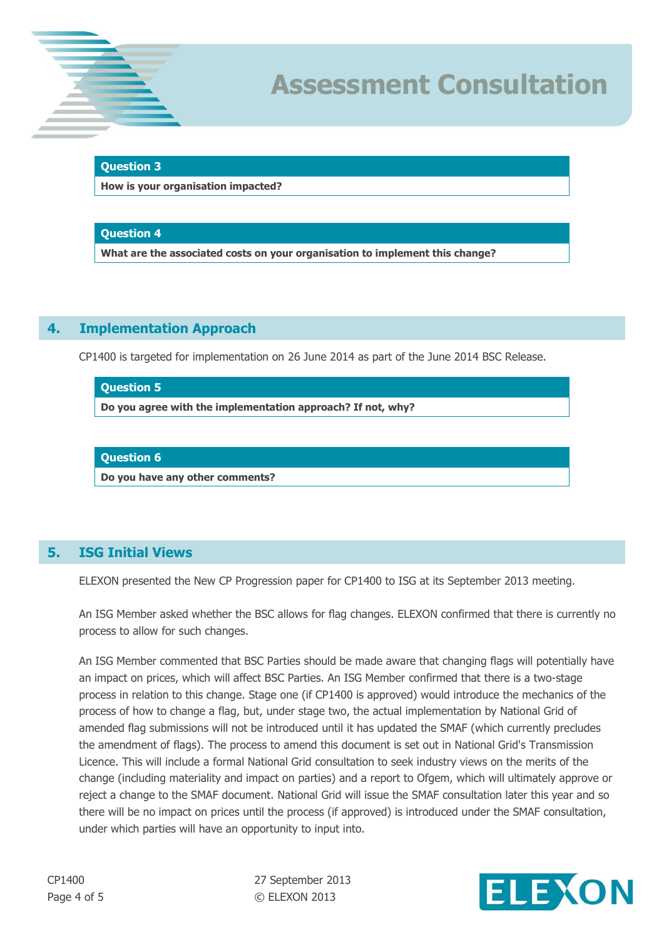

#### **Question 3**

**How is your organisation impacted?**

#### **Question 4**

**What are the associated costs on your organisation to implement this change?**

## **4. Implementation Approach**

CP1400 is targeted for implementation on 26 June 2014 as part of the June 2014 BSC Release.

#### **Question 5**

**Do you agree with the implementation approach? If not, why?**

#### **Question 6**

**Do you have any other comments?**

### **5. ISG Initial Views**

ELEXON presented the New CP Progression paper for CP1400 to ISG at its September 2013 meeting.

An ISG Member asked whether the BSC allows for flag changes. ELEXON confirmed that there is currently no process to allow for such changes.

An ISG Member commented that BSC Parties should be made aware that changing flags will potentially have an impact on prices, which will affect BSC Parties. An ISG Member confirmed that there is a two-stage process in relation to this change. Stage one (if CP1400 is approved) would introduce the mechanics of the process of how to change a flag, but, under stage two, the actual implementation by National Grid of amended flag submissions will not be introduced until it has updated the SMAF (which currently precludes the amendment of flags). The process to amend this document is set out in National Grid's Transmission Licence. This will include a formal National Grid consultation to seek industry views on the merits of the change (including materiality and impact on parties) and a report to Ofgem, which will ultimately approve or reject a change to the SMAF document. National Grid will issue the SMAF consultation later this year and so there will be no impact on prices until the process (if approved) is introduced under the SMAF consultation, under which parties will have an opportunity to input into.

CP1400 27 September 2013 Page 4 of 5 © ELEXON 2013